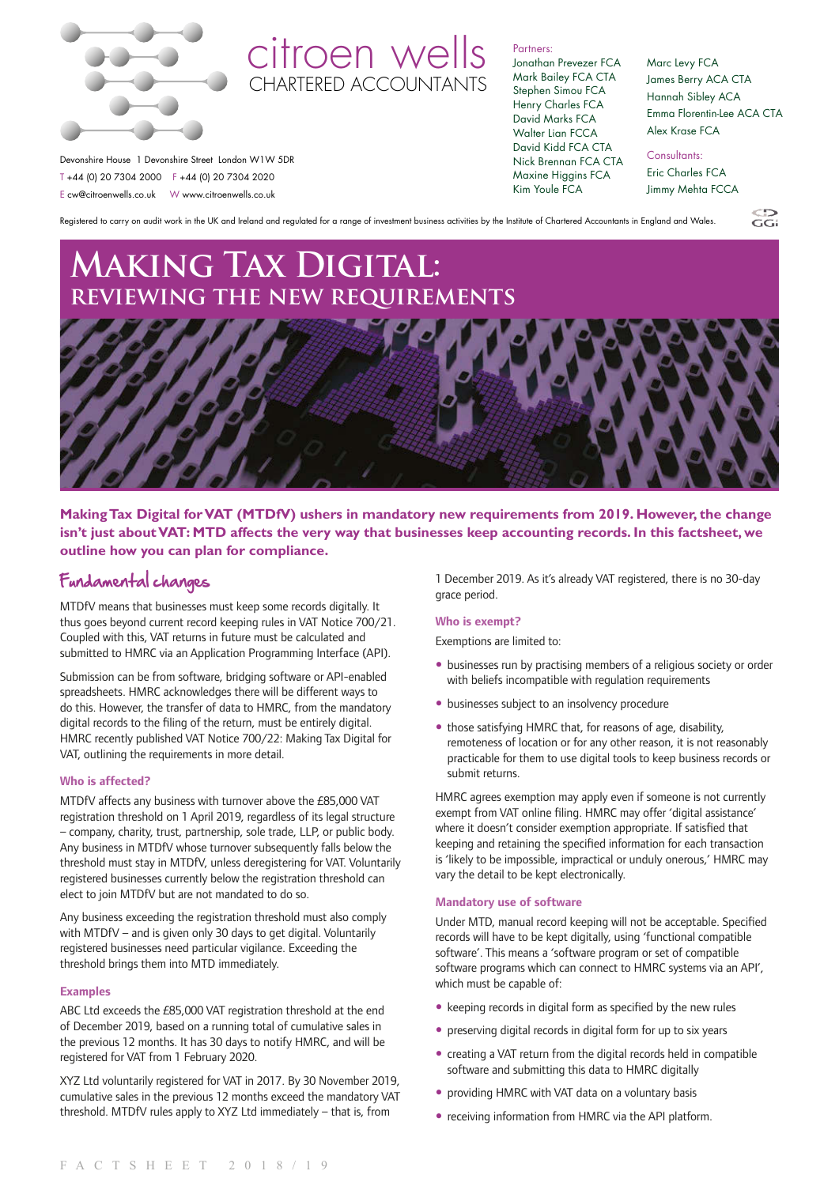

## citroen wells CHARTERED ACCOUNTANTS

Partners: Jonathan Prevezer FCA

Mark Bailey FCA CTA Stephen Simou FCA Henry Charles FCA David Marks FCA Walter Lian FCCA David Kidd FCA CTA Nick Brennan FCA CTA Maxine Higgins FCA Kim Youle FCA

Marc Levy FCA James Berry ACA CTA Hannah Sibley ACA Emma Florentin-Lee ACA CTA Alex Krase FCA

 $\overline{G}$ 

Devonshire House 1 Devonshire Street London W1W 5DR T +44 (0) 20 7304 2000 F +44 (0) 20 7304 2020 E cw@citroenwells.co.uk W www.citroenwells.co.uk

Consultants:

Eric Charles FCA Jimmy Mehta FCCA

Registered to carry on audit work in the UK and Ireland and regulated for a range of investment business activities by the Institute of Chartered Accountants in England and Wales.

# **Making Tax Digital: reviewing the new requirements**



**Making Tax Digital for VAT (MTDfV) ushers in mandatory new requirements from 2019. However, the change isn't just about VAT: MTD affects the very way that businesses keep accounting records. In this factsheet, we outline how you can plan for compliance.**

### Fundamental changes

MTDfV means that businesses must keep some records digitally. It thus goes beyond current record keeping rules in VAT Notice 700/21. Coupled with this, VAT returns in future must be calculated and submitted to HMRC via an Application Programming Interface (API).

Submission can be from software, bridging software or API-enabled spreadsheets. HMRC acknowledges there will be different ways to do this. However, the transfer of data to HMRC, from the mandatory digital records to the filing of the return, must be entirely digital. HMRC recently published VAT Notice 700/22: Making Tax Digital for VAT, outlining the requirements in more detail.

### **Who is affected?**

MTDfV affects any business with turnover above the £85,000 VAT registration threshold on 1 April 2019, regardless of its legal structure – company, charity, trust, partnership, sole trade, LLP, or public body. Any business in MTDfV whose turnover subsequently falls below the threshold must stay in MTDfV, unless deregistering for VAT. Voluntarily registered businesses currently below the registration threshold can elect to join MTDfV but are not mandated to do so.

Any business exceeding the registration threshold must also comply with MTDfV – and is given only 30 days to get digital. Voluntarily registered businesses need particular vigilance. Exceeding the threshold brings them into MTD immediately.

### **Examples**

ABC Ltd exceeds the £85,000 VAT registration threshold at the end of December 2019, based on a running total of cumulative sales in the previous 12 months. It has 30 days to notify HMRC, and will be registered for VAT from 1 February 2020.

XYZ Ltd voluntarily registered for VAT in 2017. By 30 November 2019, cumulative sales in the previous 12 months exceed the mandatory VAT threshold. MTDfV rules apply to XYZ Ltd immediately – that is, from

1 December 2019. As it's already VAT registered, there is no 30-day grace period.

### **Who is exempt?**

Exemptions are limited to:

- businesses run by practising members of a religious society or order with beliefs incompatible with regulation requirements
- businesses subject to an insolvency procedure
- those satisfying HMRC that, for reasons of age, disability, remoteness of location or for any other reason, it is not reasonably practicable for them to use digital tools to keep business records or submit returns.

HMRC agrees exemption may apply even if someone is not currently exempt from VAT online filing. HMRC may offer 'digital assistance' where it doesn't consider exemption appropriate. If satisfied that keeping and retaining the specified information for each transaction is 'likely to be impossible, impractical or unduly onerous,' HMRC may vary the detail to be kept electronically.

### **Mandatory use of software**

Under MTD, manual record keeping will not be acceptable. Specified records will have to be kept digitally, using 'functional compatible software'. This means a 'software program or set of compatible software programs which can connect to HMRC systems via an API', which must be capable of:

- keeping records in digital form as specified by the new rules
- preserving digital records in digital form for up to six years
- creating a VAT return from the digital records held in compatible software and submitting this data to HMRC digitally
- providing HMRC with VAT data on a voluntary basis
- receiving information from HMRC via the API platform.